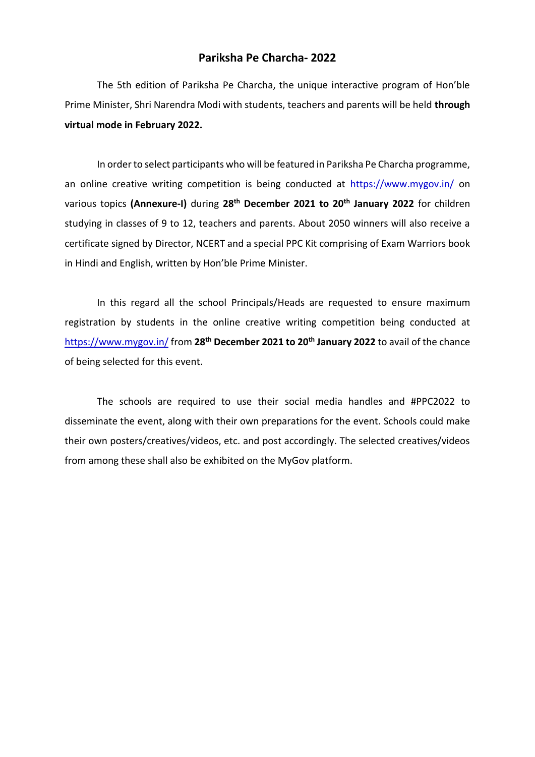## **Pariksha Pe Charcha- 2022**

The 5th edition of Pariksha Pe Charcha, the unique interactive program of Hon'ble Prime Minister, Shri Narendra Modi with students, teachers and parents will be held **through virtual mode in February 2022.**

In order to select participants who will be featured in Pariksha Pe Charcha programme, an online creative writing competition is being conducted at [https://www.mygov.in/](https://www.mygov.in/on) on various topics **(Annexure-I)** during **28th December 2021 to 20th January 2022** for children studying in classes of 9 to 12, teachers and parents. About 2050 winners will also receive a certificate signed by Director, NCERT and a special PPC Kit comprising of Exam Warriors book in Hindi and English, written by Hon'ble Prime Minister.

In this regard all the school Principals/Heads are requested to ensure maximum registration by students in the online creative writing competition being conducted at [https://www.mygov.in/](https://www.mygov.in/from) from **28th December 2021 to 20th January 2022** to avail of the chance of being selected for this event.

The schools are required to use their social media handles and #PPC2022 to disseminate the event, along with their own preparations for the event. Schools could make their own posters/creatives/videos, etc. and post accordingly. The selected creatives/videos from among these shall also be exhibited on the MyGov platform.